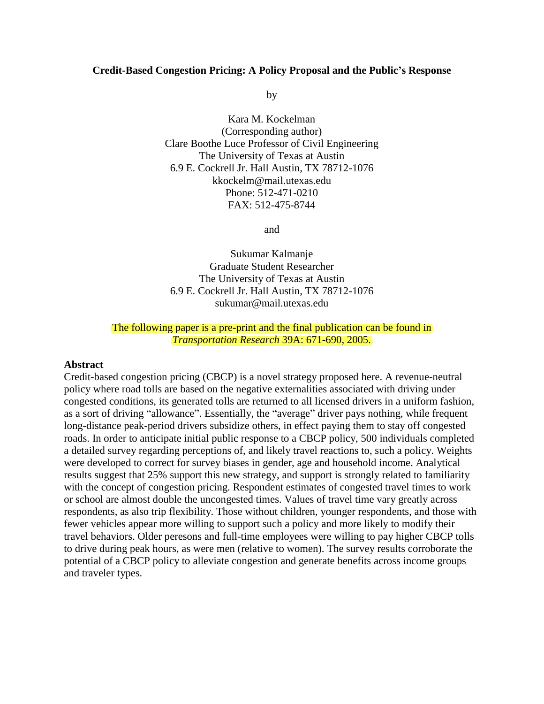#### **Credit-Based Congestion Pricing: A Policy Proposal and the Public's Response**

by

Kara M. Kockelman (Corresponding author) Clare Boothe Luce Professor of Civil Engineering The University of Texas at Austin 6.9 E. Cockrell Jr. Hall Austin, TX 78712-1076 kkockelm@mail.utexas.edu Phone: 512-471-0210 FAX: 512-475-8744

and

Sukumar Kalmanje Graduate Student Researcher The University of Texas at Austin 6.9 E. Cockrell Jr. Hall Austin, TX 78712-1076 sukumar@mail.utexas.edu

#### The following paper is a pre-print and the final publication can be found in *Transportation Research* 39A: 671-690, 2005.

#### **Abstract**

Credit-based congestion pricing (CBCP) is a novel strategy proposed here. A revenue-neutral policy where road tolls are based on the negative externalities associated with driving under congested conditions, its generated tolls are returned to all licensed drivers in a uniform fashion, as a sort of driving "allowance". Essentially, the "average" driver pays nothing, while frequent long-distance peak-period drivers subsidize others, in effect paying them to stay off congested roads. In order to anticipate initial public response to a CBCP policy, 500 individuals completed a detailed survey regarding perceptions of, and likely travel reactions to, such a policy. Weights were developed to correct for survey biases in gender, age and household income. Analytical results suggest that 25% support this new strategy, and support is strongly related to familiarity with the concept of congestion pricing. Respondent estimates of congested travel times to work or school are almost double the uncongested times. Values of travel time vary greatly across respondents, as also trip flexibility. Those without children, younger respondents, and those with fewer vehicles appear more willing to support such a policy and more likely to modify their travel behaviors. Older peresons and full-time employees were willing to pay higher CBCP tolls to drive during peak hours, as were men (relative to women). The survey results corroborate the potential of a CBCP policy to alleviate congestion and generate benefits across income groups and traveler types.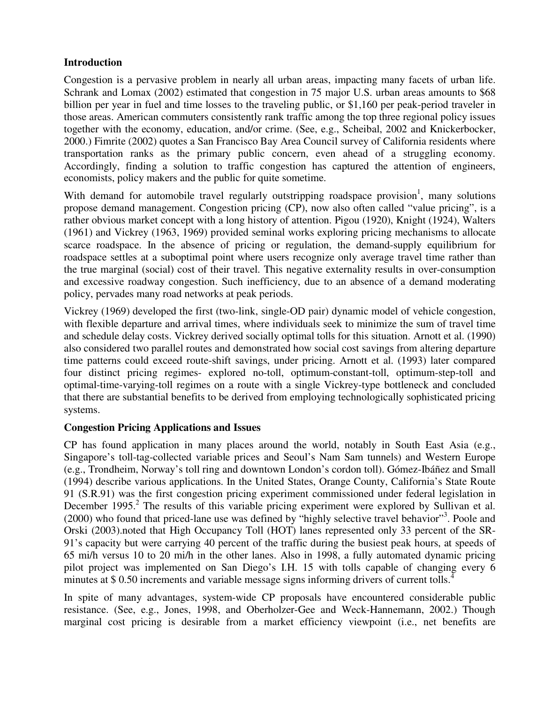### **Introduction**

Congestion is a pervasive problem in nearly all urban areas, impacting many facets of urban life. Schrank and Lomax (2002) estimated that congestion in 75 major U.S. urban areas amounts to \$68 billion per year in fuel and time losses to the traveling public, or \$1,160 per peak-period traveler in those areas. American commuters consistently rank traffic among the top three regional policy issues together with the economy, education, and/or crime. (See, e.g., Scheibal, 2002 and Knickerbocker, 2000.) Fimrite (2002) quotes a San Francisco Bay Area Council survey of California residents where transportation ranks as the primary public concern, even ahead of a struggling economy. Accordingly, finding a solution to traffic congestion has captured the attention of engineers, economists, policy makers and the public for quite sometime.

With demand for automobile travel regularly outstripping roadspace provision<sup>1</sup>, many solutions propose demand management. Congestion pricing (CP), now also often called "value pricing", is a rather obvious market concept with a long history of attention. Pigou (1920), Knight (1924), Walters (1961) and Vickrey (1963, 1969) provided seminal works exploring pricing mechanisms to allocate scarce roadspace. In the absence of pricing or regulation, the demand-supply equilibrium for roadspace settles at a suboptimal point where users recognize only average travel time rather than the true marginal (social) cost of their travel. This negative externality results in over-consumption and excessive roadway congestion. Such inefficiency, due to an absence of a demand moderating policy, pervades many road networks at peak periods.

Vickrey (1969) developed the first (two-link, single-OD pair) dynamic model of vehicle congestion, with flexible departure and arrival times, where individuals seek to minimize the sum of travel time and schedule delay costs. Vickrey derived socially optimal tolls for this situation. Arnott et al. (1990) also considered two parallel routes and demonstrated how social cost savings from altering departure time patterns could exceed route-shift savings, under pricing. Arnott et al. (1993) later compared four distinct pricing regimes- explored no-toll, optimum-constant-toll, optimum-step-toll and optimal-time-varying-toll regimes on a route with a single Vickrey-type bottleneck and concluded that there are substantial benefits to be derived from employing technologically sophisticated pricing systems.

# **Congestion Pricing Applications and Issues**

CP has found application in many places around the world, notably in South East Asia (e.g., Singapore's toll-tag-collected variable prices and Seoul's Nam Sam tunnels) and Western Europe (e.g., Trondheim, Norway's toll ring and downtown London's cordon toll). Gómez-Ibáñez and Small (1994) describe various applications. In the United States, Orange County, California's State Route 91 (S.R.91) was the first congestion pricing experiment commissioned under federal legislation in December 1995.<sup>2</sup> The results of this variable pricing experiment were explored by Sullivan et al. (2000) who found that priced-lane use was defined by "highly selective travel behavior"<sup>3</sup>. Poole and Orski (2003).noted that High Occupancy Toll (HOT) lanes represented only 33 percent of the SR-91's capacity but were carrying 40 percent of the traffic during the busiest peak hours, at speeds of 65 mi/h versus 10 to 20 mi/h in the other lanes. Also in 1998, a fully automated dynamic pricing pilot project was implemented on San Diego's I.H. 15 with tolls capable of changing every 6 minutes at \$ 0.50 increments and variable message signs informing drivers of current tolls.<sup>4</sup>

In spite of many advantages, system-wide CP proposals have encountered considerable public resistance. (See, e.g., Jones, 1998, and Oberholzer-Gee and Weck-Hannemann, 2002.) Though marginal cost pricing is desirable from a market efficiency viewpoint (i.e., net benefits are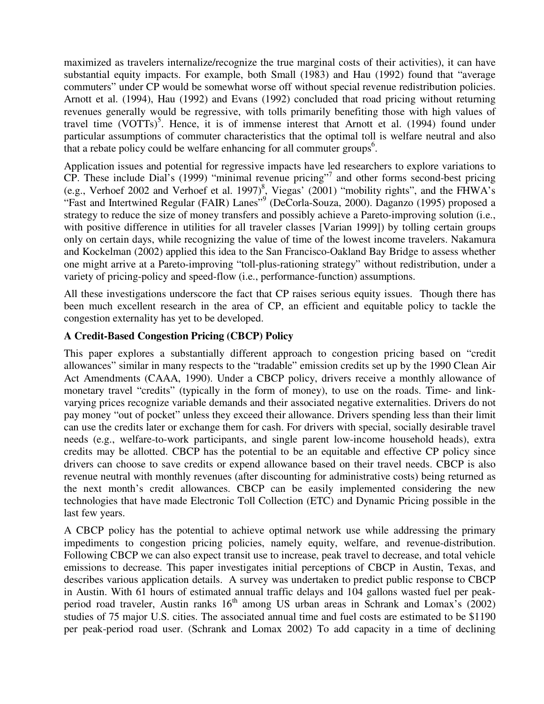maximized as travelers internalize/recognize the true marginal costs of their activities), it can have substantial equity impacts. For example, both Small (1983) and Hau (1992) found that "average commuters" under CP would be somewhat worse off without special revenue redistribution policies. Arnott et al. (1994), Hau (1992) and Evans (1992) concluded that road pricing without returning revenues generally would be regressive, with tolls primarily benefiting those with high values of travel time (VOTTs)<sup>5</sup>. Hence, it is of immense interest that Arnott et al. (1994) found under particular assumptions of commuter characteristics that the optimal toll is welfare neutral and also that a rebate policy could be welfare enhancing for all commuter groups<sup>6</sup>.

Application issues and potential for regressive impacts have led researchers to explore variations to CP. These include Dial's (1999) "minimal revenue pricing"7 and other forms second-best pricing (e.g., Verhoef 2002 and Verhoef et al. 1997)<sup>8</sup>, Viegas' (2001) "mobility rights", and the FHWA's "Fast and Intertwined Regular (FAIR) Lanes"<sup>9</sup> (DeCorla-Souza, 2000). Daganzo (1995) proposed a strategy to reduce the size of money transfers and possibly achieve a Pareto-improving solution (i.e., with positive difference in utilities for all traveler classes [Varian 1999]) by tolling certain groups only on certain days, while recognizing the value of time of the lowest income travelers. Nakamura and Kockelman (2002) applied this idea to the San Francisco-Oakland Bay Bridge to assess whether one might arrive at a Pareto-improving "toll-plus-rationing strategy" without redistribution, under a variety of pricing-policy and speed-flow (i.e., performance-function) assumptions.

All these investigations underscore the fact that CP raises serious equity issues. Though there has been much excellent research in the area of CP, an efficient and equitable policy to tackle the congestion externality has yet to be developed.

# **A Credit-Based Congestion Pricing (CBCP) Policy**

This paper explores a substantially different approach to congestion pricing based on "credit allowances" similar in many respects to the "tradable" emission credits set up by the 1990 Clean Air Act Amendments (CAAA, 1990). Under a CBCP policy, drivers receive a monthly allowance of monetary travel "credits" (typically in the form of money), to use on the roads. Time- and linkvarying prices recognize variable demands and their associated negative externalities. Drivers do not pay money "out of pocket" unless they exceed their allowance. Drivers spending less than their limit can use the credits later or exchange them for cash. For drivers with special, socially desirable travel needs (e.g., welfare-to-work participants, and single parent low-income household heads), extra credits may be allotted. CBCP has the potential to be an equitable and effective CP policy since drivers can choose to save credits or expend allowance based on their travel needs. CBCP is also revenue neutral with monthly revenues (after discounting for administrative costs) being returned as the next month's credit allowances. CBCP can be easily implemented considering the new technologies that have made Electronic Toll Collection (ETC) and Dynamic Pricing possible in the last few years.

A CBCP policy has the potential to achieve optimal network use while addressing the primary impediments to congestion pricing policies, namely equity, welfare, and revenue-distribution. Following CBCP we can also expect transit use to increase, peak travel to decrease, and total vehicle emissions to decrease. This paper investigates initial perceptions of CBCP in Austin, Texas, and describes various application details. A survey was undertaken to predict public response to CBCP in Austin. With 61 hours of estimated annual traffic delays and 104 gallons wasted fuel per peakperiod road traveler, Austin ranks  $16<sup>th</sup>$  among US urban areas in Schrank and Lomax's (2002) studies of 75 major U.S. cities. The associated annual time and fuel costs are estimated to be \$1190 per peak-period road user. (Schrank and Lomax 2002) To add capacity in a time of declining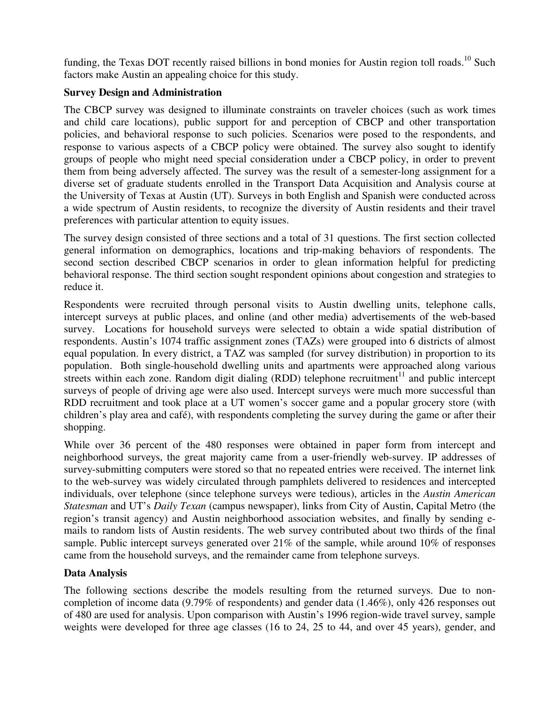funding, the Texas DOT recently raised billions in bond monies for Austin region toll roads.<sup>10</sup> Such factors make Austin an appealing choice for this study.

# **Survey Design and Administration**

The CBCP survey was designed to illuminate constraints on traveler choices (such as work times and child care locations), public support for and perception of CBCP and other transportation policies, and behavioral response to such policies. Scenarios were posed to the respondents, and response to various aspects of a CBCP policy were obtained. The survey also sought to identify groups of people who might need special consideration under a CBCP policy, in order to prevent them from being adversely affected. The survey was the result of a semester-long assignment for a diverse set of graduate students enrolled in the Transport Data Acquisition and Analysis course at the University of Texas at Austin (UT). Surveys in both English and Spanish were conducted across a wide spectrum of Austin residents, to recognize the diversity of Austin residents and their travel preferences with particular attention to equity issues.

The survey design consisted of three sections and a total of 31 questions. The first section collected general information on demographics, locations and trip-making behaviors of respondents. The second section described CBCP scenarios in order to glean information helpful for predicting behavioral response. The third section sought respondent opinions about congestion and strategies to reduce it.

Respondents were recruited through personal visits to Austin dwelling units, telephone calls, intercept surveys at public places, and online (and other media) advertisements of the web-based survey. Locations for household surveys were selected to obtain a wide spatial distribution of respondents. Austin's 1074 traffic assignment zones (TAZs) were grouped into 6 districts of almost equal population. In every district, a TAZ was sampled (for survey distribution) in proportion to its population. Both single-household dwelling units and apartments were approached along various streets within each zone. Random digit dialing (RDD) telephone recruitment<sup>11</sup> and public intercept surveys of people of driving age were also used. Intercept surveys were much more successful than RDD recruitment and took place at a UT women's soccer game and a popular grocery store (with children's play area and café), with respondents completing the survey during the game or after their shopping.

While over 36 percent of the 480 responses were obtained in paper form from intercept and neighborhood surveys, the great majority came from a user-friendly web-survey. IP addresses of survey-submitting computers were stored so that no repeated entries were received. The internet link to the web-survey was widely circulated through pamphlets delivered to residences and intercepted individuals, over telephone (since telephone surveys were tedious), articles in the *Austin American Statesman* and UT's *Daily Texan* (campus newspaper), links from City of Austin, Capital Metro (the region's transit agency) and Austin neighborhood association websites, and finally by sending emails to random lists of Austin residents. The web survey contributed about two thirds of the final sample. Public intercept surveys generated over 21% of the sample, while around 10% of responses came from the household surveys, and the remainder came from telephone surveys.

# **Data Analysis**

The following sections describe the models resulting from the returned surveys. Due to noncompletion of income data (9.79% of respondents) and gender data (1.46%), only 426 responses out of 480 are used for analysis. Upon comparison with Austin's 1996 region-wide travel survey, sample weights were developed for three age classes (16 to 24, 25 to 44, and over 45 years), gender, and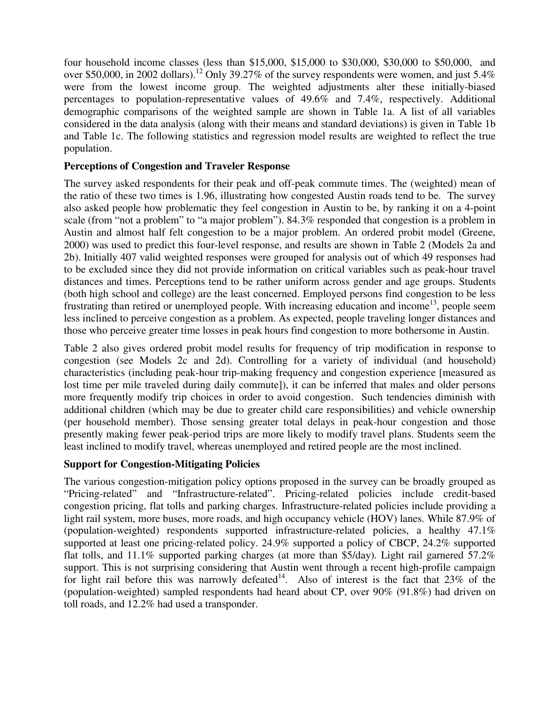four household income classes (less than \$15,000, \$15,000 to \$30,000, \$30,000 to \$50,000, and over \$50,000, in 2002 dollars).<sup>12</sup> Only 39.27% of the survey respondents were women, and just 5.4% were from the lowest income group. The weighted adjustments alter these initially-biased percentages to population-representative values of 49.6% and 7.4%, respectively. Additional demographic comparisons of the weighted sample are shown in Table 1a. A list of all variables considered in the data analysis (along with their means and standard deviations) is given in Table 1b and Table 1c. The following statistics and regression model results are weighted to reflect the true population.

### **Perceptions of Congestion and Traveler Response**

The survey asked respondents for their peak and off-peak commute times. The (weighted) mean of the ratio of these two times is 1.96, illustrating how congested Austin roads tend to be. The survey also asked people how problematic they feel congestion in Austin to be, by ranking it on a 4-point scale (from "not a problem" to "a major problem"). 84.3% responded that congestion is a problem in Austin and almost half felt congestion to be a major problem. An ordered probit model (Greene, 2000) was used to predict this four-level response, and results are shown in Table 2 (Models 2a and 2b). Initially 407 valid weighted responses were grouped for analysis out of which 49 responses had to be excluded since they did not provide information on critical variables such as peak-hour travel distances and times. Perceptions tend to be rather uniform across gender and age groups. Students (both high school and college) are the least concerned. Employed persons find congestion to be less frustrating than retired or unemployed people. With increasing education and income<sup>13</sup>, people seem less inclined to perceive congestion as a problem. As expected, people traveling longer distances and those who perceive greater time losses in peak hours find congestion to more bothersome in Austin.

Table 2 also gives ordered probit model results for frequency of trip modification in response to congestion (see Models 2c and 2d). Controlling for a variety of individual (and household) characteristics (including peak-hour trip-making frequency and congestion experience [measured as lost time per mile traveled during daily commute]), it can be inferred that males and older persons more frequently modify trip choices in order to avoid congestion. Such tendencies diminish with additional children (which may be due to greater child care responsibilities) and vehicle ownership (per household member). Those sensing greater total delays in peak-hour congestion and those presently making fewer peak-period trips are more likely to modify travel plans. Students seem the least inclined to modify travel, whereas unemployed and retired people are the most inclined.

# **Support for Congestion-Mitigating Policies**

The various congestion-mitigation policy options proposed in the survey can be broadly grouped as "Pricing-related" and "Infrastructure-related". Pricing-related policies include credit-based congestion pricing, flat tolls and parking charges. Infrastructure-related policies include providing a light rail system, more buses, more roads, and high occupancy vehicle (HOV) lanes. While 87.9% of (population-weighted) respondents supported infrastructure-related policies, a healthy 47.1% supported at least one pricing-related policy. 24.9% supported a policy of CBCP, 24.2% supported flat tolls, and 11.1% supported parking charges (at more than \$5/day). Light rail garnered 57.2% support. This is not surprising considering that Austin went through a recent high-profile campaign for light rail before this was narrowly defeated<sup>14</sup>. Also of interest is the fact that  $23\%$  of the (population-weighted) sampled respondents had heard about CP, over 90% (91.8%) had driven on toll roads, and 12.2% had used a transponder.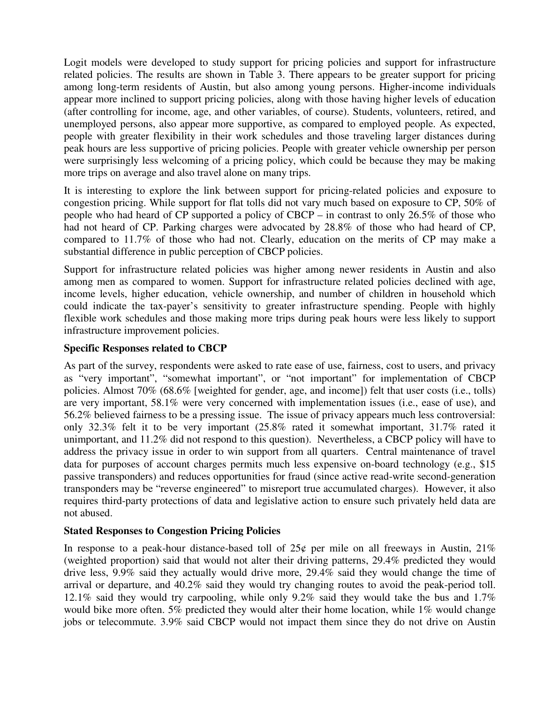Logit models were developed to study support for pricing policies and support for infrastructure related policies. The results are shown in Table 3. There appears to be greater support for pricing among long-term residents of Austin, but also among young persons. Higher-income individuals appear more inclined to support pricing policies, along with those having higher levels of education (after controlling for income, age, and other variables, of course). Students, volunteers, retired, and unemployed persons, also appear more supportive, as compared to employed people. As expected, people with greater flexibility in their work schedules and those traveling larger distances during peak hours are less supportive of pricing policies. People with greater vehicle ownership per person were surprisingly less welcoming of a pricing policy, which could be because they may be making more trips on average and also travel alone on many trips.

It is interesting to explore the link between support for pricing-related policies and exposure to congestion pricing. While support for flat tolls did not vary much based on exposure to CP, 50% of people who had heard of CP supported a policy of CBCP – in contrast to only 26.5% of those who had not heard of CP. Parking charges were advocated by 28.8% of those who had heard of CP, compared to 11.7% of those who had not. Clearly, education on the merits of CP may make a substantial difference in public perception of CBCP policies.

Support for infrastructure related policies was higher among newer residents in Austin and also among men as compared to women. Support for infrastructure related policies declined with age, income levels, higher education, vehicle ownership, and number of children in household which could indicate the tax-payer's sensitivity to greater infrastructure spending. People with highly flexible work schedules and those making more trips during peak hours were less likely to support infrastructure improvement policies.

### **Specific Responses related to CBCP**

As part of the survey, respondents were asked to rate ease of use, fairness, cost to users, and privacy as "very important", "somewhat important", or "not important" for implementation of CBCP policies. Almost 70% (68.6% [weighted for gender, age, and income]) felt that user costs (i.e., tolls) are very important, 58.1% were very concerned with implementation issues (i.e., ease of use), and 56.2% believed fairness to be a pressing issue. The issue of privacy appears much less controversial: only 32.3% felt it to be very important (25.8% rated it somewhat important, 31.7% rated it unimportant, and 11.2% did not respond to this question). Nevertheless, a CBCP policy will have to address the privacy issue in order to win support from all quarters. Central maintenance of travel data for purposes of account charges permits much less expensive on-board technology (e.g., \$15 passive transponders) and reduces opportunities for fraud (since active read-write second-generation transponders may be "reverse engineered" to misreport true accumulated charges). However, it also requires third-party protections of data and legislative action to ensure such privately held data are not abused.

#### **Stated Responses to Congestion Pricing Policies**

In response to a peak-hour distance-based toll of  $25¢$  per mile on all freeways in Austin,  $21\%$ (weighted proportion) said that would not alter their driving patterns, 29.4% predicted they would drive less, 9.9% said they actually would drive more, 29.4% said they would change the time of arrival or departure, and 40.2% said they would try changing routes to avoid the peak-period toll. 12.1% said they would try carpooling, while only 9.2% said they would take the bus and 1.7% would bike more often. 5% predicted they would alter their home location, while 1% would change jobs or telecommute. 3.9% said CBCP would not impact them since they do not drive on Austin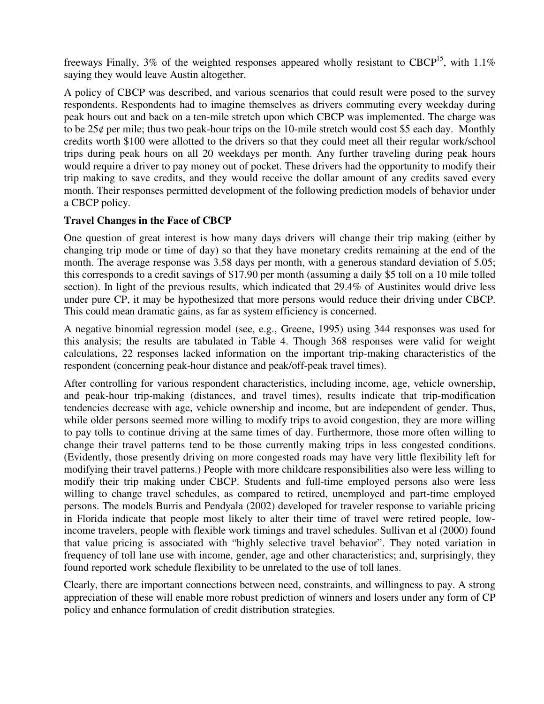freeways Finally, 3% of the weighted responses appeared wholly resistant to CBCP<sup>15</sup>, with 1.1% saying they would leave Austin altogether.

A policy of CBCP was described, and various scenarios that could result were posed to the survey respondents. Respondents had to imagine themselves as drivers commuting every weekday during peak hours out and back on a ten-mile stretch upon which CBCP was implemented. The charge was to be 25¢ per mile; thus two peak-hour trips on the 10-mile stretch would cost \$5 each day. Monthly credits worth \$100 were allotted to the drivers so that they could meet all their regular work/school trips during peak hours on all 20 weekdays per month. Any further traveling during peak hours would require a driver to pay money out of pocket. These drivers had the opportunity to modify their trip making to save credits, and they would receive the dollar amount of any credits saved every month. Their responses permitted development of the following prediction models of behavior under a CBCP policy.

# **Travel Changes in the Face of CBCP**

One question of great interest is how many days drivers will change their trip making (either by changing trip mode or time of day) so that they have monetary credits remaining at the end of the month. The average response was 3.58 days per month, with a generous standard deviation of 5.05; this corresponds to a credit savings of \$17.90 per month (assuming a daily \$5 toll on a 10 mile tolled section). In light of the previous results, which indicated that 29.4% of Austinites would drive less under pure CP, it may be hypothesized that more persons would reduce their driving under CBCP. This could mean dramatic gains, as far as system efficiency is concerned.

A negative binomial regression model (see, e.g., Greene, 1995) using 344 responses was used for this analysis; the results are tabulated in Table 4. Though 368 responses were valid for weight calculations, 22 responses lacked information on the important trip-making characteristics of the respondent (concerning peak-hour distance and peak/off-peak travel times).

After controlling for various respondent characteristics, including income, age, vehicle ownership, and peak-hour trip-making (distances, and travel times), results indicate that trip-modification tendencies decrease with age, vehicle ownership and income, but are independent of gender. Thus, while older persons seemed more willing to modify trips to avoid congestion, they are more willing to pay tolls to continue driving at the same times of day. Furthermore, those more often willing to change their travel patterns tend to be those currently making trips in less congested conditions. (Evidently, those presently driving on more congested roads may have very little flexibility left for modifying their travel patterns.) People with more childcare responsibilities also were less willing to modify their trip making under CBCP. Students and full-time employed persons also were less willing to change travel schedules, as compared to retired, unemployed and part-time employed persons. The models Burris and Pendyala (2002) developed for traveler response to variable pricing in Florida indicate that people most likely to alter their time of travel were retired people, lowincome travelers, people with flexible work timings and travel schedules. Sullivan et al (2000) found that value pricing is associated with "highly selective travel behavior". They noted variation in frequency of toll lane use with income, gender, age and other characteristics; and, surprisingly, they found reported work schedule flexibility to be unrelated to the use of toll lanes.

Clearly, there are important connections between need, constraints, and willingness to pay. A strong appreciation of these will enable more robust prediction of winners and losers under any form of CP policy and enhance formulation of credit distribution strategies.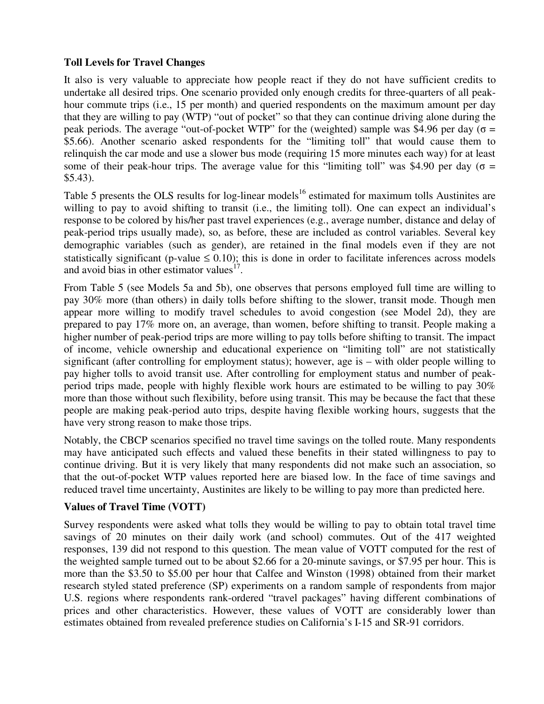### **Toll Levels for Travel Changes**

It also is very valuable to appreciate how people react if they do not have sufficient credits to undertake all desired trips. One scenario provided only enough credits for three-quarters of all peakhour commute trips (i.e., 15 per month) and queried respondents on the maximum amount per day that they are willing to pay (WTP) "out of pocket" so that they can continue driving alone during the peak periods. The average "out-of-pocket WTP" for the (weighted) sample was \$4.96 per day ( $\sigma$  = \$5.66). Another scenario asked respondents for the "limiting toll" that would cause them to relinquish the car mode and use a slower bus mode (requiring 15 more minutes each way) for at least some of their peak-hour trips. The average value for this "limiting toll" was \$4.90 per day ( $\sigma$  = \$5.43).

Table 5 presents the OLS results for log-linear models<sup>16</sup> estimated for maximum tolls Austinites are willing to pay to avoid shifting to transit (i.e., the limiting toll). One can expect an individual's response to be colored by his/her past travel experiences (e.g., average number, distance and delay of peak-period trips usually made), so, as before, these are included as control variables. Several key demographic variables (such as gender), are retained in the final models even if they are not statistically significant (p-value  $\leq$  0.10); this is done in order to facilitate inferences across models and avoid bias in other estimator values $^{17}$ .

From Table 5 (see Models 5a and 5b), one observes that persons employed full time are willing to pay 30% more (than others) in daily tolls before shifting to the slower, transit mode. Though men appear more willing to modify travel schedules to avoid congestion (see Model 2d), they are prepared to pay 17% more on, an average, than women, before shifting to transit. People making a higher number of peak-period trips are more willing to pay tolls before shifting to transit. The impact of income, vehicle ownership and educational experience on "limiting toll" are not statistically significant (after controlling for employment status); however, age is – with older people willing to pay higher tolls to avoid transit use. After controlling for employment status and number of peakperiod trips made, people with highly flexible work hours are estimated to be willing to pay 30% more than those without such flexibility, before using transit. This may be because the fact that these people are making peak-period auto trips, despite having flexible working hours, suggests that the have very strong reason to make those trips.

Notably, the CBCP scenarios specified no travel time savings on the tolled route. Many respondents may have anticipated such effects and valued these benefits in their stated willingness to pay to continue driving. But it is very likely that many respondents did not make such an association, so that the out-of-pocket WTP values reported here are biased low. In the face of time savings and reduced travel time uncertainty, Austinites are likely to be willing to pay more than predicted here.

#### **Values of Travel Time (VOTT)**

Survey respondents were asked what tolls they would be willing to pay to obtain total travel time savings of 20 minutes on their daily work (and school) commutes. Out of the 417 weighted responses, 139 did not respond to this question. The mean value of VOTT computed for the rest of the weighted sample turned out to be about \$2.66 for a 20-minute savings, or \$7.95 per hour. This is more than the \$3.50 to \$5.00 per hour that Calfee and Winston (1998) obtained from their market research styled stated preference (SP) experiments on a random sample of respondents from major U.S. regions where respondents rank-ordered "travel packages" having different combinations of prices and other characteristics. However, these values of VOTT are considerably lower than estimates obtained from revealed preference studies on California's I-15 and SR-91 corridors.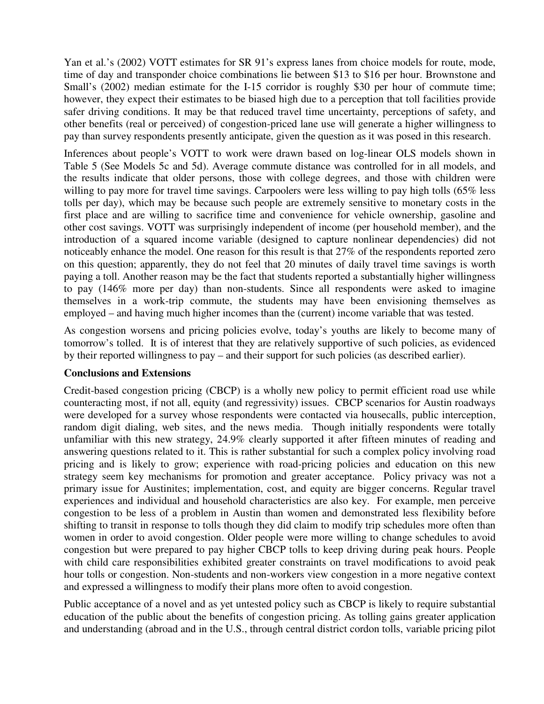Yan et al.'s (2002) VOTT estimates for SR 91's express lanes from choice models for route, mode, time of day and transponder choice combinations lie between \$13 to \$16 per hour. Brownstone and Small's (2002) median estimate for the I-15 corridor is roughly \$30 per hour of commute time; however, they expect their estimates to be biased high due to a perception that toll facilities provide safer driving conditions. It may be that reduced travel time uncertainty, perceptions of safety, and other benefits (real or perceived) of congestion-priced lane use will generate a higher willingness to pay than survey respondents presently anticipate, given the question as it was posed in this research.

Inferences about people's VOTT to work were drawn based on log-linear OLS models shown in Table 5 (See Models 5c and 5d). Average commute distance was controlled for in all models, and the results indicate that older persons, those with college degrees, and those with children were willing to pay more for travel time savings. Carpoolers were less willing to pay high tolls (65% less tolls per day), which may be because such people are extremely sensitive to monetary costs in the first place and are willing to sacrifice time and convenience for vehicle ownership, gasoline and other cost savings. VOTT was surprisingly independent of income (per household member), and the introduction of a squared income variable (designed to capture nonlinear dependencies) did not noticeably enhance the model. One reason for this result is that 27% of the respondents reported zero on this question; apparently, they do not feel that 20 minutes of daily travel time savings is worth paying a toll. Another reason may be the fact that students reported a substantially higher willingness to pay (146% more per day) than non-students. Since all respondents were asked to imagine themselves in a work-trip commute, the students may have been envisioning themselves as employed – and having much higher incomes than the (current) income variable that was tested.

As congestion worsens and pricing policies evolve, today's youths are likely to become many of tomorrow's tolled. It is of interest that they are relatively supportive of such policies, as evidenced by their reported willingness to pay – and their support for such policies (as described earlier).

#### **Conclusions and Extensions**

Credit-based congestion pricing (CBCP) is a wholly new policy to permit efficient road use while counteracting most, if not all, equity (and regressivity) issues. CBCP scenarios for Austin roadways were developed for a survey whose respondents were contacted via housecalls, public interception, random digit dialing, web sites, and the news media. Though initially respondents were totally unfamiliar with this new strategy, 24.9% clearly supported it after fifteen minutes of reading and answering questions related to it. This is rather substantial for such a complex policy involving road pricing and is likely to grow; experience with road-pricing policies and education on this new strategy seem key mechanisms for promotion and greater acceptance. Policy privacy was not a primary issue for Austinites; implementation, cost, and equity are bigger concerns. Regular travel experiences and individual and household characteristics are also key. For example, men perceive congestion to be less of a problem in Austin than women and demonstrated less flexibility before shifting to transit in response to tolls though they did claim to modify trip schedules more often than women in order to avoid congestion. Older people were more willing to change schedules to avoid congestion but were prepared to pay higher CBCP tolls to keep driving during peak hours. People with child care responsibilities exhibited greater constraints on travel modifications to avoid peak hour tolls or congestion. Non-students and non-workers view congestion in a more negative context and expressed a willingness to modify their plans more often to avoid congestion.

Public acceptance of a novel and as yet untested policy such as CBCP is likely to require substantial education of the public about the benefits of congestion pricing. As tolling gains greater application and understanding (abroad and in the U.S., through central district cordon tolls, variable pricing pilot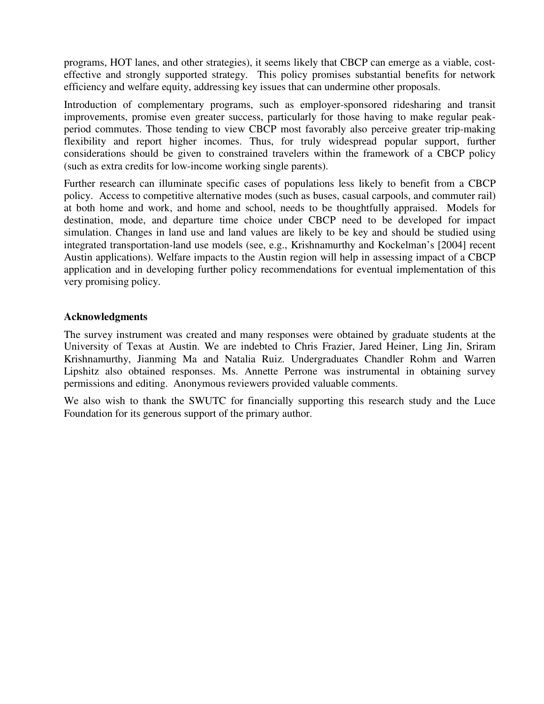programs, HOT lanes, and other strategies), it seems likely that CBCP can emerge as a viable, costeffective and strongly supported strategy. This policy promises substantial benefits for network efficiency and welfare equity, addressing key issues that can undermine other proposals.

Introduction of complementary programs, such as employer-sponsored ridesharing and transit improvements, promise even greater success, particularly for those having to make regular peakperiod commutes. Those tending to view CBCP most favorably also perceive greater trip-making flexibility and report higher incomes. Thus, for truly widespread popular support, further considerations should be given to constrained travelers within the framework of a CBCP policy (such as extra credits for low-income working single parents).

Further research can illuminate specific cases of populations less likely to benefit from a CBCP policy. Access to competitive alternative modes (such as buses, casual carpools, and commuter rail) at both home and work, and home and school, needs to be thoughtfully appraised. Models for destination, mode, and departure time choice under CBCP need to be developed for impact simulation. Changes in land use and land values are likely to be key and should be studied using integrated transportation-land use models (see, e.g., Krishnamurthy and Kockelman's [2004] recent Austin applications). Welfare impacts to the Austin region will help in assessing impact of a CBCP application and in developing further policy recommendations for eventual implementation of this very promising policy.

#### **Acknowledgments**

The survey instrument was created and many responses were obtained by graduate students at the University of Texas at Austin. We are indebted to Chris Frazier, Jared Heiner, Ling Jin, Sriram Krishnamurthy, Jianming Ma and Natalia Ruiz. Undergraduates Chandler Rohm and Warren Lipshitz also obtained responses. Ms. Annette Perrone was instrumental in obtaining survey permissions and editing. Anonymous reviewers provided valuable comments.

We also wish to thank the SWUTC for financially supporting this research study and the Luce Foundation for its generous support of the primary author.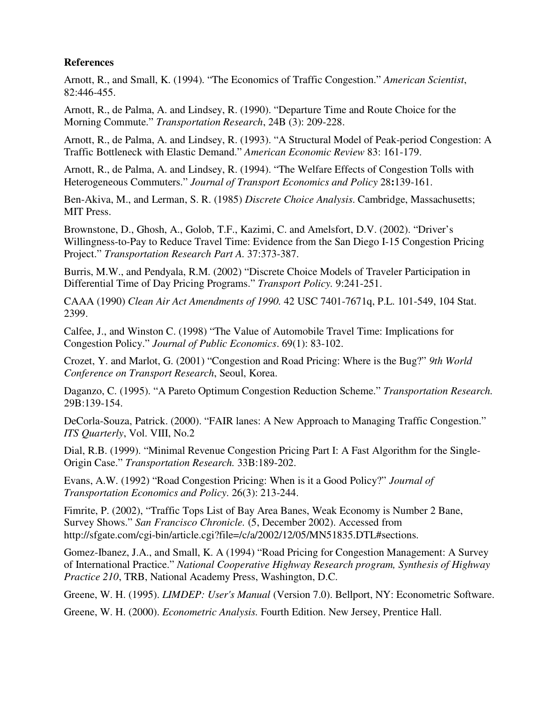#### **References**

Arnott, R., and Small, K. (1994). "The Economics of Traffic Congestion." *American Scientist*, 82:446-455.

Arnott, R., de Palma, A. and Lindsey, R. (1990). "Departure Time and Route Choice for the Morning Commute." *Transportation Research*, 24B (3): 209-228.

Arnott, R., de Palma, A. and Lindsey, R. (1993). "A Structural Model of Peak-period Congestion: A Traffic Bottleneck with Elastic Demand." *American Economic Review* 83: 161-179.

Arnott, R., de Palma, A. and Lindsey, R. (1994). "The Welfare Effects of Congestion Tolls with Heterogeneous Commuters." *Journal of Transport Economics and Policy* 28**:**139-161.

Ben-Akiva, M., and Lerman, S. R. (1985) *Discrete Choice Analysis*. Cambridge, Massachusetts; MIT Press.

Brownstone, D., Ghosh, A., Golob, T.F., Kazimi, C. and Amelsfort, D.V. (2002). "Driver's Willingness-to-Pay to Reduce Travel Time: Evidence from the San Diego I-15 Congestion Pricing Project." *Transportation Research Part A.* 37:373-387.

Burris, M.W., and Pendyala, R.M. (2002) "Discrete Choice Models of Traveler Participation in Differential Time of Day Pricing Programs." *Transport Policy.* 9:241-251.

CAAA (1990) *Clean Air Act Amendments of 1990.* 42 USC 7401-7671q, P.L. 101-549, 104 Stat. 2399.

Calfee, J., and Winston C. (1998) "The Value of Automobile Travel Time: Implications for Congestion Policy." *Journal of Public Economics*. 69(1): 83-102.

Crozet, Y. and Marlot, G. (2001) "Congestion and Road Pricing: Where is the Bug?" *9th World Conference on Transport Research*, Seoul, Korea.

Daganzo, C. (1995). "A Pareto Optimum Congestion Reduction Scheme." *Transportation Research.* 29B:139-154.

DeCorla-Souza, Patrick. (2000). "FAIR lanes: A New Approach to Managing Traffic Congestion." *ITS Quarterly*, Vol. VIII, No.2

Dial, R.B. (1999). "Minimal Revenue Congestion Pricing Part I: A Fast Algorithm for the Single-Origin Case." *Transportation Research.* 33B:189-202.

Evans, A.W. (1992) "Road Congestion Pricing: When is it a Good Policy?" *Journal of Transportation Economics and Policy*. 26(3): 213-244.

Fimrite, P. (2002), "Traffic Tops List of Bay Area Banes, Weak Economy is Number 2 Bane, Survey Shows." *San Francisco Chronicle.* (5, December 2002). Accessed from http://sfgate.com/cgi-bin/article.cgi?file=/c/a/2002/12/05/MN51835.DTL#sections.

Gomez-Ibanez, J.A., and Small, K. A (1994) "Road Pricing for Congestion Management: A Survey of International Practice." *National Cooperative Highway Research program, Synthesis of Highway Practice 210*, TRB, National Academy Press, Washington, D.C.

Greene, W. H. (1995). *LIMDEP: User's Manual* (Version 7.0). Bellport, NY: Econometric Software.

Greene, W. H. (2000). *Econometric Analysis.* Fourth Edition. New Jersey, Prentice Hall.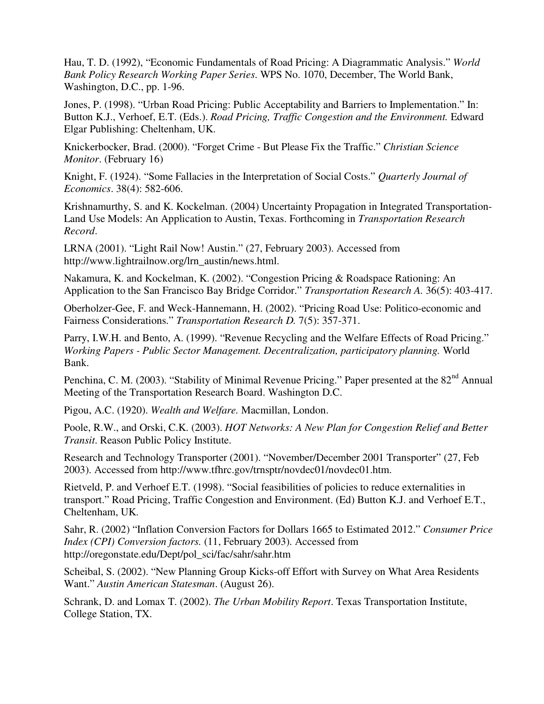Hau, T. D. (1992), "Economic Fundamentals of Road Pricing: A Diagrammatic Analysis." *World Bank Policy Research Working Paper Series*. WPS No. 1070, December, The World Bank, Washington, D.C., pp. 1-96.

Jones, P. (1998). "Urban Road Pricing: Public Acceptability and Barriers to Implementation." In: Button K.J., Verhoef, E.T. (Eds.). *Road Pricing, Traffic Congestion and the Environment.* Edward Elgar Publishing: Cheltenham, UK.

Knickerbocker, Brad. (2000). "Forget Crime - But Please Fix the Traffic." *Christian Science Monitor*. (February 16)

Knight, F. (1924). "Some Fallacies in the Interpretation of Social Costs." *Quarterly Journal of Economics*. 38(4): 582-606.

Krishnamurthy, S. and K. Kockelman. (2004) Uncertainty Propagation in Integrated Transportation-Land Use Models: An Application to Austin, Texas. Forthcoming in *Transportation Research Record*.

LRNA (2001). "Light Rail Now! Austin." (27, February 2003). Accessed from http://www.lightrailnow.org/lrn\_austin/news.html.

Nakamura, K. and Kockelman, K. (2002). "Congestion Pricing & Roadspace Rationing: An Application to the San Francisco Bay Bridge Corridor." *Transportation Research A.* 36(5): 403-417.

Oberholzer-Gee, F. and Weck-Hannemann, H. (2002). "Pricing Road Use: Politico-economic and Fairness Considerations." *Transportation Research D.* 7(5): 357-371.

Parry, I.W.H. and Bento, A. (1999). "Revenue Recycling and the Welfare Effects of Road Pricing." *Working Papers - Public Sector Management. Decentralization, participatory planning.* World Bank.

Penchina, C. M. (2003). "Stability of Minimal Revenue Pricing." Paper presented at the 82<sup>nd</sup> Annual Meeting of the Transportation Research Board. Washington D.C.

Pigou, A.C. (1920). *Wealth and Welfare.* Macmillan, London.

Poole, R.W., and Orski, C.K. (2003). *HOT Networks: A New Plan for Congestion Relief and Better Transit*. Reason Public Policy Institute.

Research and Technology Transporter (2001). "November/December 2001 Transporter" (27, Feb 2003). Accessed from http://www.tfhrc.gov/trnsptr/novdec01/novdec01.htm.

Rietveld, P. and Verhoef E.T. (1998). "Social feasibilities of policies to reduce externalities in transport." Road Pricing, Traffic Congestion and Environment. (Ed) Button K.J. and Verhoef E.T., Cheltenham, UK.

Sahr, R. (2002) "Inflation Conversion Factors for Dollars 1665 to Estimated 2012." *Consumer Price Index (CPI) Conversion factors.* (11, February 2003). Accessed from http://oregonstate.edu/Dept/pol\_sci/fac/sahr/sahr.htm

Scheibal, S. (2002). "New Planning Group Kicks-off Effort with Survey on What Area Residents Want." *Austin American Statesman*. (August 26).

Schrank, D. and Lomax T. (2002). *The Urban Mobility Report*. Texas Transportation Institute, College Station, TX.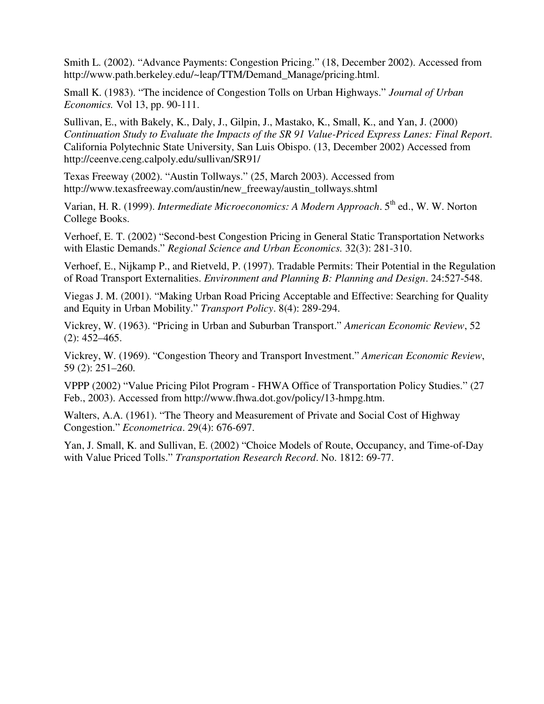Smith L. (2002). "Advance Payments: Congestion Pricing." (18, December 2002). Accessed from http://www.path.berkeley.edu/~leap/TTM/Demand\_Manage/pricing.html.

Small K. (1983). "The incidence of Congestion Tolls on Urban Highways." *Journal of Urban Economics.* Vol 13, pp. 90-111.

Sullivan, E., with Bakely, K., Daly, J., Gilpin, J., Mastako, K., Small, K., and Yan, J. (2000) *Continuation Study to Evaluate the Impacts of the SR 91 Value-Priced Express Lanes: Final Report*. California Polytechnic State University, San Luis Obispo. (13, December 2002) Accessed from http://ceenve.ceng.calpoly.edu/sullivan/SR91/

Texas Freeway (2002). "Austin Tollways." (25, March 2003). Accessed from http://www.texasfreeway.com/austin/new\_freeway/austin\_tollways.shtml

Varian, H. R. (1999). *Intermediate Microeconomics: A Modern Approach*. 5<sup>th</sup> ed., W. W. Norton College Books.

Verhoef, E. T. (2002) "Second-best Congestion Pricing in General Static Transportation Networks with Elastic Demands." *Regional Science and Urban Economics.* 32(3): 281-310.

Verhoef, E., Nijkamp P., and Rietveld, P. (1997). Tradable Permits: Their Potential in the Regulation of Road Transport Externalities. *Environment and Planning B: Planning and Design*. 24:527-548.

Viegas J. M. (2001). "Making Urban Road Pricing Acceptable and Effective: Searching for Quality and Equity in Urban Mobility." *Transport Policy*. 8(4): 289-294.

Vickrey, W. (1963). "Pricing in Urban and Suburban Transport." *American Economic Review*, 52 (2): 452–465.

Vickrey, W. (1969). "Congestion Theory and Transport Investment." *American Economic Review*, 59 (2): 251–260.

VPPP (2002) "Value Pricing Pilot Program - FHWA Office of Transportation Policy Studies." (27 Feb., 2003). Accessed from http://www.fhwa.dot.gov/policy/13-hmpg.htm.

Walters, A.A. (1961). "The Theory and Measurement of Private and Social Cost of Highway Congestion." *Econometrica*. 29(4): 676-697.

Yan, J. Small, K. and Sullivan, E. (2002) "Choice Models of Route, Occupancy, and Time-of-Day with Value Priced Tolls." *Transportation Research Record*. No. 1812: 69-77.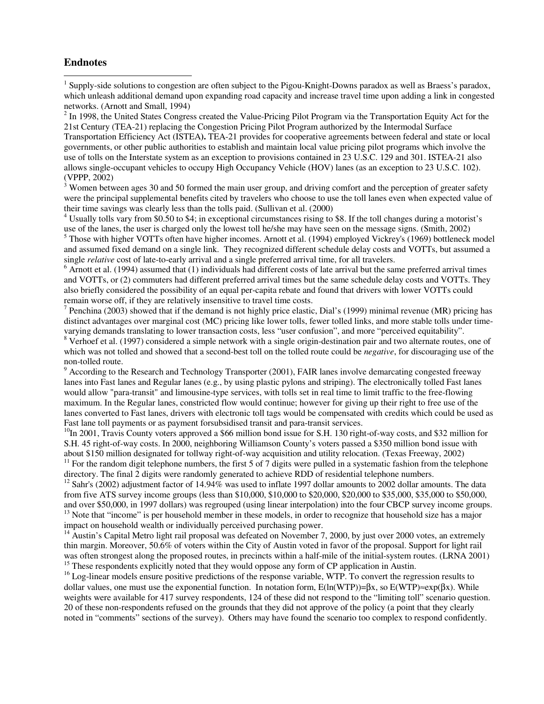#### **Endnotes**

 $\overline{a}$ 

<sup>1</sup> Supply-side solutions to congestion are often subject to the Pigou-Knight-Downs paradox as well as Braess's paradox, which unleash additional demand upon expanding road capacity and increase travel time upon adding a link in congested networks. (Arnott and Small, 1994)

 $2^2$  In 1998, the United States Congress created the Value-Pricing Pilot Program via the Transportation Equity Act for the 21st Century (TEA-21) replacing the Congestion Pricing Pilot Program authorized by the Intermodal Surface

Transportation Efficiency Act (ISTEA**).** TEA-21 provides for cooperative agreements between federal and state or local governments, or other public authorities to establish and maintain local value pricing pilot programs which involve the use of tolls on the Interstate system as an exception to provisions contained in 23 U.S.C. 129 and 301. ISTEA-21 also allows single-occupant vehicles to occupy High Occupancy Vehicle (HOV) lanes (as an exception to 23 U.S.C. 102). (VPPP, 2002)

 $3$  Women between ages 30 and 50 formed the main user group, and driving comfort and the perception of greater safety were the principal supplemental benefits cited by travelers who choose to use the toll lanes even when expected value of their time savings was clearly less than the tolls paid. (Sullivan et al. (2000)

<sup>4</sup> Usually tolls vary from \$0.50 to \$4; in exceptional circumstances rising to \$8. If the toll changes during a motorist's use of the lanes, the user is charged only the lowest toll he/she may have seen on the message signs. (Smith, 2002)

<sup>5</sup> Those with higher VOTTs often have higher incomes. Arnott et al. (1994) employed Vickrey's (1969) bottleneck model and assumed fixed demand on a single link. They recognized different schedule delay costs and VOTTs, but assumed a single *relative* cost of late-to-early arrival and a single preferred arrival time, for all travelers.

 $6$  Arnott et al. (1994) assumed that (1) individuals had different costs of late arrival but the same preferred arrival times and VOTTs, or (2) commuters had different preferred arrival times but the same schedule delay costs and VOTTs. They also briefly considered the possibility of an equal per-capita rebate and found that drivers with lower VOTTs could remain worse off, if they are relatively insensitive to travel time costs.

<sup>7</sup> Penchina (2003) showed that if the demand is not highly price elastic, Dial's (1999) minimal revenue (MR) pricing has distinct advantages over marginal cost (MC) pricing like lower tolls, fewer tolled links, and more stable tolls under timevarying demands translating to lower transaction costs, less "user confusion", and more "perceived equitability".

<sup>8</sup> Verhoef et al. (1997) considered a simple network with a single origin-destination pair and two alternate routes, one of which was not tolled and showed that a second-best toll on the tolled route could be *negative*, for discouraging use of the non-tolled route.

<sup>9</sup> According to the Research and Technology Transporter (2001), FAIR lanes involve demarcating congested freeway lanes into Fast lanes and Regular lanes (e.g., by using plastic pylons and striping). The electronically tolled Fast lanes would allow "para-transit" and limousine-type services, with tolls set in real time to limit traffic to the free-flowing maximum. In the Regular lanes, constricted flow would continue; however for giving up their right to free use of the lanes converted to Fast lanes, drivers with electronic toll tags would be compensated with credits which could be used as Fast lane toll payments or as payment forsubsidised transit and para-transit services.

 $10$ In 2001, Travis County voters approved a \$66 million bond issue for S.H. 130 right-of-way costs, and \$32 million for S.H. 45 right-of-way costs. In 2000, neighboring Williamson County's voters passed a \$350 million bond issue with about \$150 million designated for tollway right-of-way acquisition and utility relocation. (Texas Freeway, 2002)<br><sup>11</sup> For the random digit telephone numbers, the first 5 of 7 digits were pulled in a systematic fashion from

directory. The final 2 digits were randomly generated to achieve RDD of residential telephone numbers.

 $12$  Sahr's (2002) adjustment factor of 14.94% was used to inflate 1997 dollar amounts to 2002 dollar amounts. The data from five ATS survey income groups (less than \$10,000, \$10,000 to \$20,000, \$20,000 to \$35,000, \$35,000 to \$50,000, and over \$50,000, in 1997 dollars) was regrouped (using linear interpolation) into the four CBCP survey inc <sup>13</sup> Note that "income" is per household member in these models, in order to recognize that household size has a major impact on household wealth or individually perceived purchasing power.

<sup>14</sup> Austin's Capital Metro light rail proposal was defeated on November 7, 2000, by just over 2000 votes, an extremely thin margin. Moreover, 50.6% of voters within the City of Austin voted in favor of the proposal. Support for light rail was often strongest along the proposed routes, in precincts within a half-mile of the initial-system routes. (LRNA 2001) <sup>15</sup> These respondents explicitly noted that they would oppose any form of CP application in Austin.

<sup>16</sup> Log-linear models ensure positive predictions of the response variable, WTP. To convert the regression results to dollar values, one must use the exponential function. In notation form,  $E(ln(WTP))=βx$ , so  $E(WTP) \approx exp(βx)$ . While weights were available for 417 survey respondents, 124 of these did not respond to the "limiting toll" scenario question. 20 of these non-respondents refused on the grounds that they did not approve of the policy (a point that they clearly noted in "comments" sections of the survey). Others may have found the scenario too complex to respond confidently.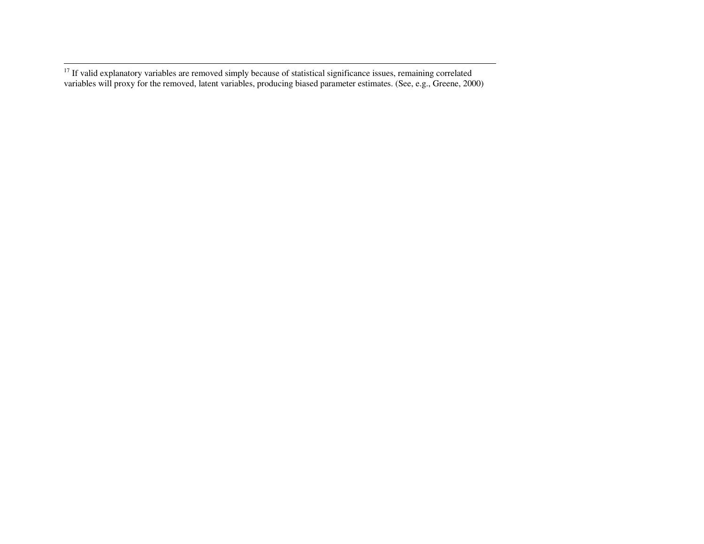<sup>17</sup> If valid explanatory variables are removed simply because of statistical significance issues, remaining correlated variables will proxy for the removed, latent variables, producing biased parameter estimates. (See, e.g., Greene, 2000)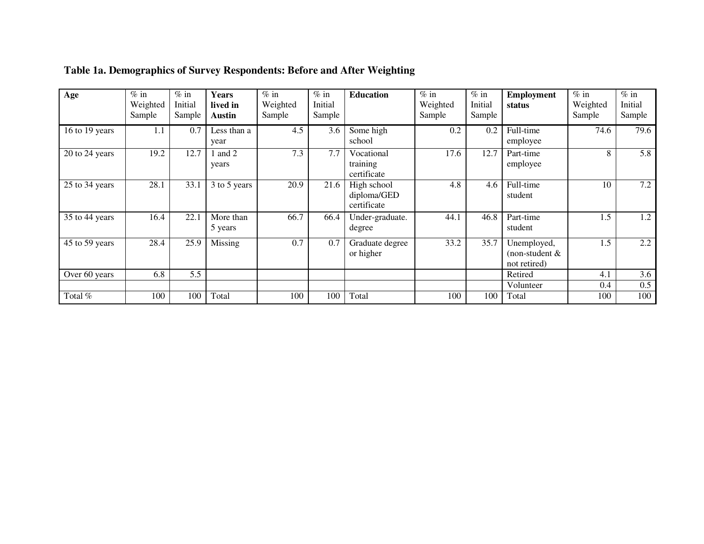| Age            | $%$ in<br>Weighted<br>Sample | $%$ in<br>Initial<br>Sample | <b>Years</b><br>lived in<br><b>Austin</b> | $\%$ in<br>Weighted<br>Sample | $%$ in<br>Initial<br>Sample | <b>Education</b>                          | $\%$ in<br>Weighted<br>Sample | $%$ in<br>Initial<br>Sample | <b>Employment</b><br>status                   | $%$ in<br>Weighted<br>Sample | $%$ in<br>Initial<br>Sample |
|----------------|------------------------------|-----------------------------|-------------------------------------------|-------------------------------|-----------------------------|-------------------------------------------|-------------------------------|-----------------------------|-----------------------------------------------|------------------------------|-----------------------------|
| 16 to 19 years | 1.1                          | 0.7                         | Less than a<br>year                       | 4.5                           | 3.6                         | Some high<br>school                       | 0.2                           | 0.2                         | Full-time<br>employee                         | 74.6                         | 79.6                        |
| 20 to 24 years | 19.2                         | 12.7                        | and 2<br>years                            | 7.3                           | 7.7                         | Vocational<br>training<br>certificate     | 17.6                          | 12.7                        | Part-time<br>employee                         | 8                            | 5.8                         |
| 25 to 34 years | 28.1                         | 33.1                        | 3 to 5 years                              | 20.9                          | 21.6                        | High school<br>diploma/GED<br>certificate | 4.8                           | 4.6                         | Full-time<br>student                          | 10                           | 7.2                         |
| 35 to 44 years | 16.4                         | 22.1                        | More than<br>5 years                      | 66.7                          | 66.4                        | Under-graduate.<br>degree                 | 44.1                          | 46.8                        | Part-time<br>student                          | 1.5                          | 1.2                         |
| 45 to 59 years | 28.4                         | 25.9                        | Missing                                   | 0.7                           | 0.7                         | Graduate degree<br>or higher              | 33.2                          | 35.7                        | Unemployed,<br>(non-student &<br>not retired) | 1.5                          | $2.2^{\circ}$               |
| Over 60 years  | 6.8                          | 5.5                         |                                           |                               |                             |                                           |                               |                             | Retired                                       | 4.1                          | 3.6                         |
|                |                              |                             |                                           |                               |                             |                                           |                               |                             | Volunteer                                     | 0.4                          | 0.5                         |
| Total %        | 100                          | 100                         | Total                                     | 100                           | 100                         | Total                                     | 100                           | 100                         | Total                                         | 100                          | 100                         |

# **Table 1a. Demographics of Survey Respondents: Before and After Weighting**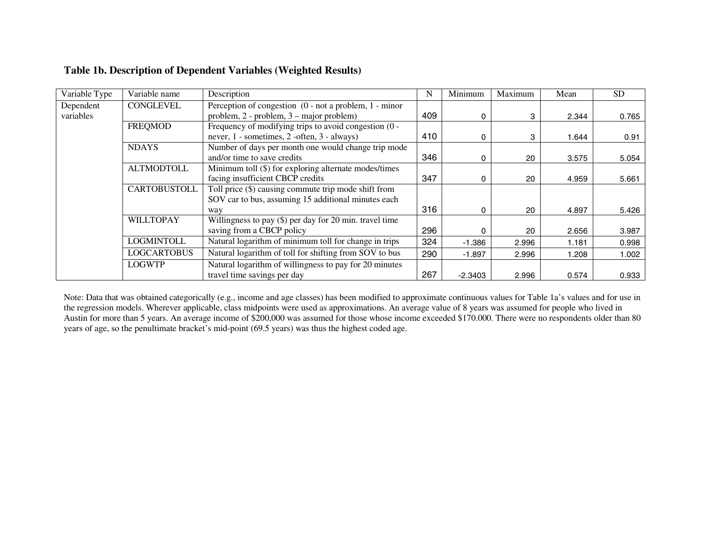| Variable Type | Variable name       | Description                                               | N   | Minimum   | Maximum | Mean  | <b>SD</b> |
|---------------|---------------------|-----------------------------------------------------------|-----|-----------|---------|-------|-----------|
| Dependent     | CONGLEVEL           | Perception of congestion $(0 - not a problem, 1 - minor)$ |     |           |         |       |           |
| variables     |                     | problem, 2 - problem, 3 – major problem)                  | 409 | 0         | 3       | 2.344 | 0.765     |
|               | <b>FREQMOD</b>      | Frequency of modifying trips to avoid congestion (0 -     |     |           |         |       |           |
|               |                     | never, 1 - sometimes, 2 -often, 3 - always)               | 410 | 0         | 3       | 1.644 | 0.91      |
|               | <b>NDAYS</b>        | Number of days per month one would change trip mode       |     |           |         |       |           |
|               |                     | and/or time to save credits                               | 346 | 0         | 20      | 3.575 | 5.054     |
|               | <b>ALTMODTOLL</b>   | Minimum toll (\$) for exploring alternate modes/times     |     |           |         |       |           |
|               |                     | facing insufficient CBCP credits                          | 347 | 0         | 20      | 4.959 | 5.661     |
|               | <b>CARTOBUSTOLL</b> | Toll price (\$) causing commute trip mode shift from      |     |           |         |       |           |
|               |                     | SOV car to bus, assuming 15 additional minutes each       |     |           |         |       |           |
|               |                     | way                                                       | 316 | 0         | 20      | 4.897 | 5.426     |
|               | <b>WILLTOPAY</b>    | Willingness to pay $(\$)$ per day for 20 min. travel time |     |           |         |       |           |
|               |                     | saving from a CBCP policy                                 | 296 | 0         | 20      | 2.656 | 3.987     |
|               | <b>LOGMINTOLL</b>   | Natural logarithm of minimum toll for change in trips     | 324 | $-1.386$  | 2.996   | 1.181 | 0.998     |
|               | <b>LOGCARTOBUS</b>  | Natural logarithm of toll for shifting from SOV to bus    | 290 | $-1.897$  | 2.996   | 1.208 | 1.002     |
|               | <b>LOGWTP</b>       | Natural logarithm of willingness to pay for 20 minutes    |     |           |         |       |           |
|               |                     | travel time savings per day                               | 267 | $-2.3403$ | 2.996   | 0.574 | 0.933     |

# **Table 1b. Description of Dependent Variables (Weighted Results)**

Note: Data that was obtained categorically (e.g., income and age classes) has been modified to approximate continuous values for Table 1a's values and for use in the regression models. Wherever applicable, class midpoints were used as approximations. An average value of 8 years was assumed for people who lived in Austin for more than 5 years. An average income of \$200,000 was assumed for those whose income exceeded \$170.000. There were no respondents older than 80 years of age, so the penultimate bracket's mid-point (69.5 years) was thus the highest coded age.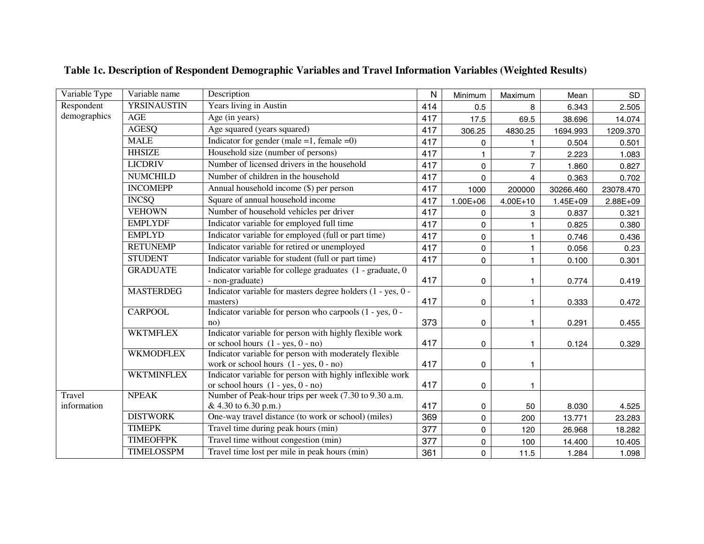| Variable Type | Variable name                                               | Description                                                                                        | $\mathsf{N}$ | Minimum             | Maximum        | Mean         | SD        |
|---------------|-------------------------------------------------------------|----------------------------------------------------------------------------------------------------|--------------|---------------------|----------------|--------------|-----------|
| Respondent    | <b>YRSINAUSTIN</b>                                          | Years living in Austin                                                                             | 414          | 0.5                 | 8              | 6.343        | 2.505     |
| demographics  | <b>AGE</b>                                                  | Age (in years)                                                                                     | 417          | 17.5                | 69.5           | 38.696       | 14.074    |
|               | <b>AGESQ</b>                                                | Age squared (years squared)                                                                        | 417          | 306.25              | 4830.25        | 1694.993     | 1209.370  |
|               | <b>MALE</b>                                                 | Indicator for gender (male = 1, female = 0)                                                        | 417          | 0                   | 1.             | 0.504        | 0.501     |
|               | <b>HHSIZE</b>                                               | Household size (number of persons)                                                                 | 417          | 1.                  | $\overline{7}$ | 2.223        | 1.083     |
|               | <b>LICDRIV</b>                                              | Number of licensed drivers in the household                                                        | 417          | 0                   | $\overline{7}$ | 1.860        | 0.827     |
|               | <b>NUMCHILD</b>                                             | Number of children in the household                                                                | 417          | 0                   | $\overline{4}$ | 0.363        | 0.702     |
|               | <b>INCOMEPP</b>                                             | Annual household income (\$) per person                                                            | 417          | 1000                | 200000         | 30266.460    | 23078.470 |
|               | <b>INCSQ</b>                                                | Square of annual household income                                                                  | 417          | $1.00E + 06$        | $4.00E + 10$   | $1.45E + 09$ | 2.88E+09  |
|               | <b>VEHOWN</b>                                               | Number of household vehicles per driver                                                            | 417          | 0                   | 3              | 0.837        | 0.321     |
|               | <b>EMPLYDF</b>                                              | Indicator variable for employed full time                                                          | 417          | 0                   | 1              | 0.825        | 0.380     |
|               | <b>EMPLYD</b>                                               | Indicator variable for employed (full or part time)                                                | 417          | $\mathbf 0$         | 1              | 0.746        | 0.436     |
|               | <b>RETUNEMP</b>                                             | Indicator variable for retired or unemployed                                                       | 417          | 0                   | 1.             | 0.056        | 0.23      |
|               | <b>STUDENT</b>                                              | Indicator variable for student (full or part time)                                                 | 417          | $\mathbf 0$         | 1              | 0.100        | 0.301     |
|               | <b>GRADUATE</b>                                             | Indicator variable for college graduates (1 - graduate, 0)                                         |              |                     |                |              |           |
|               |                                                             | - non-graduate)                                                                                    | 417          | 0                   |                | 0.774        | 0.419     |
|               | <b>MASTERDEG</b>                                            | Indicator variable for masters degree holders (1 - yes, 0 -<br>masters)                            | 417          | $\pmb{0}$           | 1              | 0.333        | 0.472     |
|               | <b>CARPOOL</b>                                              | Indicator variable for person who carpools (1 - yes, 0 -<br>no)                                    | 373          | 0                   | 1.             | 0.291        | 0.455     |
|               | <b>WKTMFLEX</b>                                             | Indicator variable for person with highly flexible work                                            |              |                     |                |              |           |
|               |                                                             | or school hours $(1 - yes, 0 - no)$                                                                | 417          | $\mathsf{O}\xspace$ | 1              | 0.124        | 0.329     |
|               | <b>WKMODFLEX</b>                                            | Indicator variable for person with moderately flexible<br>work or school hours $(1 - yes, 0 - no)$ | 417          | 0                   | 1              |              |           |
|               | <b>WKTMINFLEX</b>                                           | Indicator variable for person with highly inflexible work<br>or school hours $(1 - yes, 0 - no)$   | 417          | 0                   |                |              |           |
| Travel        | <b>NPEAK</b>                                                | Number of Peak-hour trips per week (7.30 to 9.30 a.m.                                              |              |                     |                |              |           |
| information   |                                                             | & 4.30 to 6.30 p.m.)                                                                               | 417          | 0                   | 50             | 8.030        | 4.525     |
|               | <b>DISTWORK</b>                                             | One-way travel distance (to work or school) (miles)                                                |              | 0                   | 200            | 13.771       | 23.283    |
|               | <b>TIMEPK</b>                                               | Travel time during peak hours (min)                                                                | 377          | $\mathbf 0$         | 120            | 26.968       | 18.282    |
|               | <b>TIMEOFFPK</b>                                            | Travel time without congestion (min)                                                               | 377          | $\mathsf{O}\xspace$ | 100            | 14.400       | 10.405    |
|               | Travel time lost per mile in peak hours (min)<br>TIMELOSSPM |                                                                                                    | 361          | $\mathbf 0$         | 11.5           | 1.284        | 1.098     |

# **Table 1c. Description of Respondent Demographic Variables and Travel Information Variables (Weighted Results)**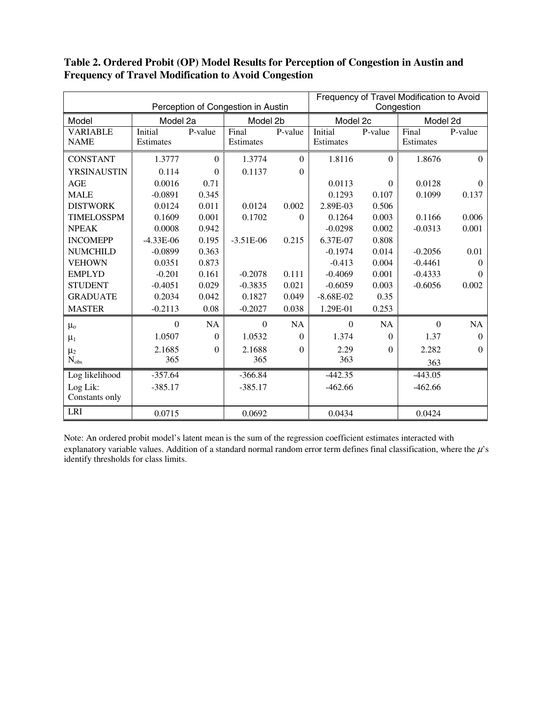|                   |             |                                    | Frequency of Travel Modification to Avoid |              |             |          |           |                  |
|-------------------|-------------|------------------------------------|-------------------------------------------|--------------|-------------|----------|-----------|------------------|
|                   |             | Perception of Congestion in Austin | Congestion                                |              |             |          |           |                  |
| Model             | Model 2a    |                                    | Model 2b                                  |              | Model 2c    |          | Model 2d  |                  |
| <b>VARIABLE</b>   | Initial     | P-value                            | Final                                     | P-value      | Initial     | P-value  | Final     | P-value          |
| <b>NAME</b>       | Estimates   |                                    | Estimates                                 |              | Estimates   |          | Estimates |                  |
| <b>CONSTANT</b>   | 1.3777      | $\Omega$                           | 1.3774                                    | $\mathbf{0}$ | 1.8116      | $\Omega$ | 1.8676    | $\theta$         |
| YRSINAUSTIN       | 0.114       | $\Omega$                           | 0.1137                                    | $\mathbf{0}$ |             |          |           |                  |
| <b>AGE</b>        | 0.0016      | 0.71                               |                                           |              | 0.0113      | $\theta$ | 0.0128    | $\theta$         |
| <b>MALE</b>       | $-0.0891$   | 0.345                              |                                           |              | 0.1293      | 0.107    | 0.1099    | 0.137            |
| <b>DISTWORK</b>   | 0.0124      | 0.011                              | 0.0124                                    | 0.002        | 2.89E-03    | 0.506    |           |                  |
| <b>TIMELOSSPM</b> | 0.1609      | 0.001                              | 0.1702                                    | $\Omega$     | 0.1264      | 0.003    | 0.1166    | 0.006            |
| <b>NPEAK</b>      | 0.0008      | 0.942                              |                                           |              | $-0.0298$   | 0.002    | $-0.0313$ | 0.001            |
| <b>INCOMEPP</b>   | $-4.33E-06$ | 0.195                              | $-3.51E-06$                               | 0.215        | 6.37E-07    | 0.808    |           |                  |
| <b>NUMCHILD</b>   | $-0.0899$   | 0.363                              |                                           |              | $-0.1974$   | 0.014    | $-0.2056$ | 0.01             |
| <b>VEHOWN</b>     | 0.0351      | 0.873                              |                                           |              | $-0.413$    | 0.004    | $-0.4461$ | $\Omega$         |
| <b>EMPLYD</b>     | $-0.201$    | 0.161                              | $-0.2078$                                 | 0.111        | $-0.4069$   | 0.001    | $-0.4333$ | $\Omega$         |
| <b>STUDENT</b>    | $-0.4051$   | 0.029                              | $-0.3835$                                 | 0.021        | $-0.6059$   | 0.003    | $-0.6056$ | 0.002            |
| <b>GRADUATE</b>   | 0.2034      | 0.042                              | 0.1827                                    | 0.049        | $-8.68E-02$ | 0.35     |           |                  |
| <b>MASTER</b>     | $-0.2113$   | 0.08                               | $-0.2027$                                 | 0.038        | 1.29E-01    | 0.253    |           |                  |
| $\mu_{o}$         | $\Omega$    | NA                                 | $\boldsymbol{0}$                          | NA           | $\Omega$    | NA       | $\Omega$  | NA               |
| $\mu_1$           | 1.0507      | $\Omega$                           | 1.0532                                    | $\mathbf{0}$ | 1.374       | $\Omega$ | 1.37      | $\boldsymbol{0}$ |
| $\mu_2$           | 2.1685      | $\Omega$                           | 2.1688                                    | $\mathbf{0}$ | 2.29        | $\Omega$ | 2.282     | $\Omega$         |
| $N_{obs}$         | 365         |                                    | 365                                       |              | 363         |          | 363       |                  |
| Log likelihood    | $-357.64$   |                                    | $-366.84$                                 |              | $-442.35$   |          | $-443.05$ |                  |
| Log Lik:          | $-385.17$   |                                    | $-385.17$                                 |              | $-462.66$   |          | $-462.66$ |                  |
| Constants only    |             |                                    |                                           |              |             |          |           |                  |
| <b>LRI</b>        | 0.0715      |                                    | 0.0692                                    |              | 0.0434      |          | 0.0424    |                  |

# **Table 2. Ordered Probit (OP) Model Results for Perception of Congestion in Austin and Frequency of Travel Modification to Avoid Congestion**

Note: An ordered probit model's latent mean is the sum of the regression coefficient estimates interacted with explanatory variable values. Addition of a standard normal random error term defines final classification, where the  $\mu$ 's identify thresholds for class limits.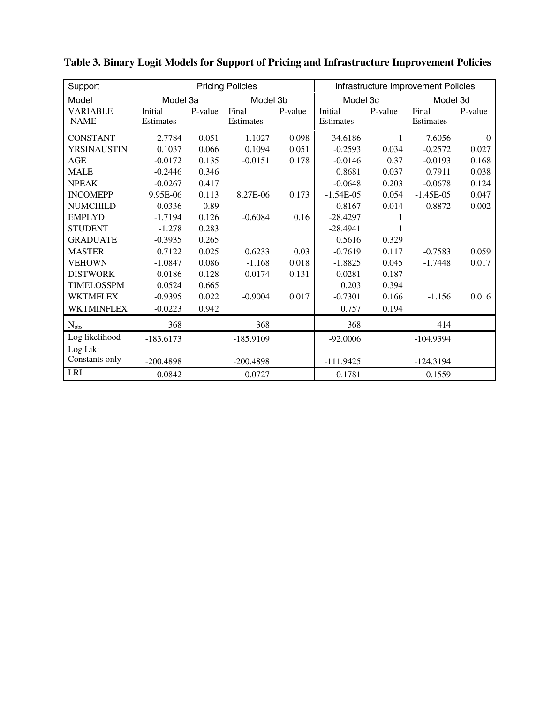| Support           |             |         | <b>Pricing Policies</b> |         | Infrastructure Improvement Policies |                      |             |          |
|-------------------|-------------|---------|-------------------------|---------|-------------------------------------|----------------------|-------------|----------|
| Model             | Model 3a    |         | Model 3b                |         |                                     | Model 3c<br>Model 3d |             |          |
| <b>VARIABLE</b>   | Initial     | P-value | Final                   | P-value | Initial                             | P-value              | Final       | P-value  |
| <b>NAME</b>       | Estimates   |         | Estimates               |         | Estimates                           |                      | Estimates   |          |
| <b>CONSTANT</b>   | 2.7784      | 0.051   | 1.1027                  | 0.098   | 34.6186                             |                      | 7.6056      | $\theta$ |
| YRSINAUSTIN       | 0.1037      | 0.066   | 0.1094                  | 0.051   | $-0.2593$                           | 0.034                | $-0.2572$   | 0.027    |
| <b>AGE</b>        | $-0.0172$   | 0.135   | $-0.0151$               | 0.178   | $-0.0146$                           | 0.37                 | $-0.0193$   | 0.168    |
| <b>MALE</b>       | $-0.2446$   | 0.346   |                         |         | 0.8681                              | 0.037                | 0.7911      | 0.038    |
| <b>NPEAK</b>      | $-0.0267$   | 0.417   |                         |         | $-0.0648$                           | 0.203                | $-0.0678$   | 0.124    |
| <b>INCOMEPP</b>   | 9.95E-06    | 0.113   | 8.27E-06                | 0.173   | $-1.54E-05$                         | 0.054                | $-1.45E-05$ | 0.047    |
| <b>NUMCHILD</b>   | 0.0336      | 0.89    |                         |         | $-0.8167$                           | 0.014                | $-0.8872$   | 0.002    |
| <b>EMPLYD</b>     | $-1.7194$   | 0.126   | $-0.6084$               | 0.16    | $-28.4297$                          |                      |             |          |
| <b>STUDENT</b>    | $-1.278$    | 0.283   |                         |         | $-28.4941$                          |                      |             |          |
| <b>GRADUATE</b>   | $-0.3935$   | 0.265   |                         |         | 0.5616                              | 0.329                |             |          |
| <b>MASTER</b>     | 0.7122      | 0.025   | 0.6233                  | 0.03    | $-0.7619$                           | 0.117                | $-0.7583$   | 0.059    |
| <b>VEHOWN</b>     | $-1.0847$   | 0.086   | $-1.168$                | 0.018   | $-1.8825$                           | 0.045                | $-1.7448$   | 0.017    |
| <b>DISTWORK</b>   | $-0.0186$   | 0.128   | $-0.0174$               | 0.131   | 0.0281                              | 0.187                |             |          |
| <b>TIMELOSSPM</b> | 0.0524      | 0.665   |                         |         | 0.203                               | 0.394                |             |          |
| <b>WKTMFLEX</b>   | $-0.9395$   | 0.022   | $-0.9004$               | 0.017   | $-0.7301$                           | 0.166                | $-1.156$    | 0.016    |
| <b>WKTMINFLEX</b> | $-0.0223$   | 0.942   |                         |         | 0.757                               | 0.194                |             |          |
| $N_{obs}$         | 368         |         | 368                     |         | 368                                 |                      | 414         |          |
| Log likelihood    | $-183.6173$ |         | $-185.9109$             |         | $-92.0006$                          |                      | $-104.9394$ |          |
| Log Lik:          |             |         |                         |         |                                     |                      |             |          |
| Constants only    | $-200.4898$ |         | $-200.4898$             |         | $-111.9425$                         |                      | $-124.3194$ |          |
| <b>LRI</b>        | 0.0842      |         | 0.0727                  |         | 0.1781                              |                      | 0.1559      |          |

**Table 3. Binary Logit Models for Support of Pricing and Infrastructure Improvement Policies**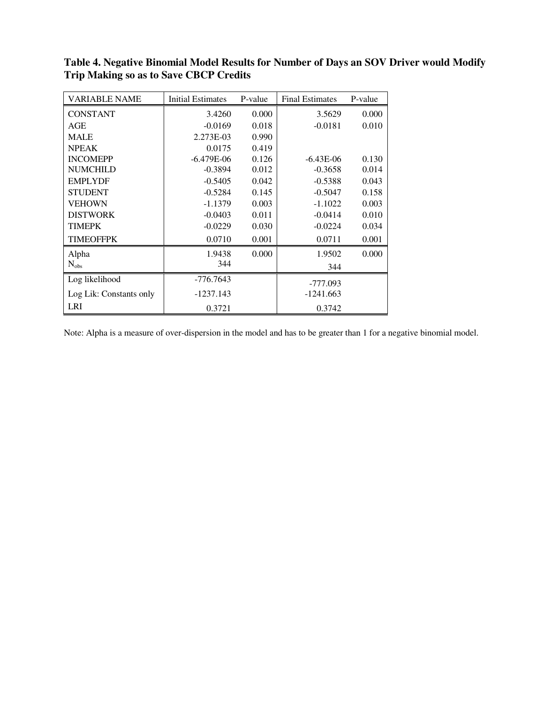| <b>VARIABLE NAME</b>    | <b>Initial Estimates</b> | P-value | <b>Final Estimates</b> | P-value |
|-------------------------|--------------------------|---------|------------------------|---------|
| <b>CONSTANT</b>         | 3.4260                   | 0.000   | 3.5629                 | 0.000   |
| AGE                     | $-0.0169$                | 0.018   | $-0.0181$              | 0.010   |
| <b>MALE</b>             | 2.273E-03                | 0.990   |                        |         |
| <b>NPEAK</b>            | 0.0175                   | 0.419   |                        |         |
| <b>INCOMEPP</b>         | $-6.479E-06$             | 0.126   | $-6.43E-06$            | 0.130   |
| <b>NUMCHILD</b>         | $-0.3894$                | 0.012   | $-0.3658$              | 0.014   |
| <b>EMPLYDF</b>          | $-0.5405$                | 0.042   | $-0.5388$              | 0.043   |
| <b>STUDENT</b>          | $-0.5284$                | 0.145   | $-0.5047$              | 0.158   |
| <b>VEHOWN</b>           | $-1.1379$                | 0.003   | $-1.1022$              | 0.003   |
| <b>DISTWORK</b>         | $-0.0403$                | 0.011   | $-0.0414$              | 0.010   |
| <b>TIMEPK</b>           | $-0.0229$                | 0.030   | $-0.0224$              | 0.034   |
| <b>TIMEOFFPK</b>        | 0.0710                   | 0.001   | 0.0711                 | 0.001   |
| Alpha                   | 1.9438                   | 0.000   | 1.9502                 | 0.000   |
| $N_{obs}$               | 344                      |         | 344                    |         |
| Log likelihood          | $-776.7643$              |         | -777.093               |         |
| Log Lik: Constants only | $-1237.143$              |         | -1241.663              |         |
| <b>LRI</b>              | 0.3721                   |         | 0.3742                 |         |

**Table 4. Negative Binomial Model Results for Number of Days an SOV Driver would Modify Trip Making so as to Save CBCP Credits** 

Note: Alpha is a measure of over-dispersion in the model and has to be greater than 1 for a negative binomial model.